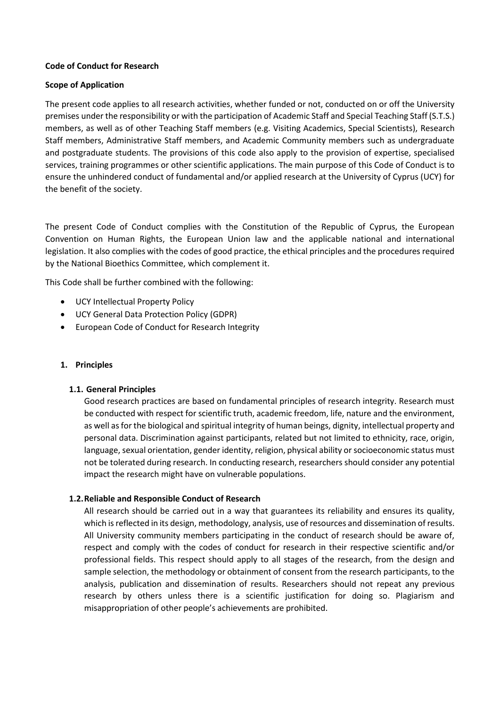## **Code of Conduct for Research**

## **Scope of Application**

The present code applies to all research activities, whether funded or not, conducted on or off the University premises under the responsibility or with the participation of Academic Staff and Special Teaching Staff (S.T.S.) members, as well as of other Teaching Staff members (e.g. Visiting Academics, Special Scientists), Research Staff members, Administrative Staff members, and Academic Community members such as undergraduate and postgraduate students. The provisions of this code also apply to the provision of expertise, specialised services, training programmes or other scientific applications. The main purpose of this Code of Conduct is to ensure the unhindered conduct of fundamental and/or applied research at the University of Cyprus (UCY) for the benefit of the society.

The present Code of Conduct complies with the Constitution of the Republic of Cyprus, the European Convention on Human Rights, the European Union law and the applicable national and international legislation. It also complies with the codes of good practice, the ethical principles and the procedures required by the National Bioethics Committee, which complement it.

This Code shall be further combined with the following:

- UCY Intellectual Property Policy
- UCY General Data Protection Policy (GDPR)
- European Code of Conduct for Research Integrity

### **1. Principles**

### **1.1. General Principles**

Good research practices are based on fundamental principles of research integrity. Research must be conducted with respect for scientific truth, academic freedom, life, nature and the environment, as well as for the biological and spiritual integrity of human beings, dignity, intellectual property and personal data. Discrimination against participants, related but not limited to ethnicity, race, origin, language, sexual orientation, gender identity, religion, physical ability or socioeconomic status must not be tolerated during research. In conducting research, researchers should consider any potential impact the research might have on vulnerable populations.

# **1.2.Reliable and Responsible Conduct of Research**

All research should be carried out in a way that guarantees its reliability and ensures its quality, which is reflected in its design, methodology, analysis, use of resources and dissemination of results. All University community members participating in the conduct of research should be aware of, respect and comply with the codes of conduct for research in their respective scientific and/or professional fields. This respect should apply to all stages of the research, from the design and sample selection, the methodology or obtainment of consent from the research participants, to the analysis, publication and dissemination of results. Researchers should not repeat any previous research by others unless there is a scientific justification for doing so. Plagiarism and misappropriation of other people's achievements are prohibited.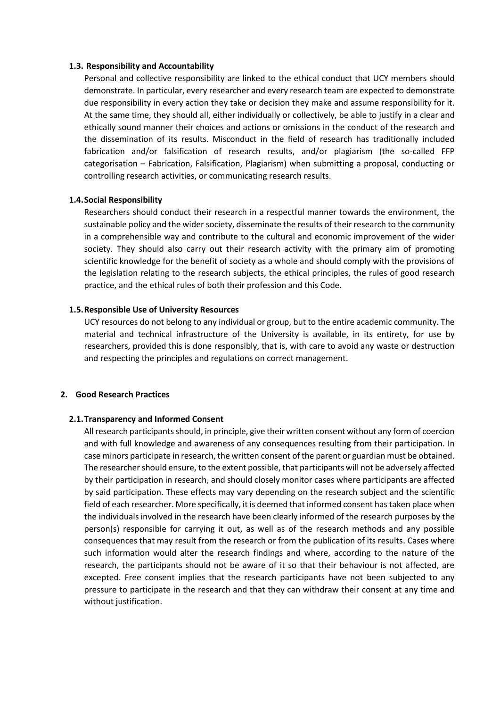#### **1.3. Responsibility and Accountability**

Personal and collective responsibility are linked to the ethical conduct that UCY members should demonstrate. In particular, every researcher and every research team are expected to demonstrate due responsibility in every action they take or decision they make and assume responsibility for it. At the same time, they should all, either individually or collectively, be able to justify in a clear and ethically sound manner their choices and actions or omissions in the conduct of the research and the dissemination of its results. Misconduct in the field of research has traditionally included fabrication and/or falsification of research results, and/or plagiarism (the so-called FFP categorisation – Fabrication, Falsification, Plagiarism) when submitting a proposal, conducting or controlling research activities, or communicating research results.

#### **1.4.Social Responsibility**

Researchers should conduct their research in a respectful manner towards the environment, the sustainable policy and the wider society, disseminate the results of their research to the community in a comprehensible way and contribute to the cultural and economic improvement of the wider society. They should also carry out their research activity with the primary aim of promoting scientific knowledge for the benefit of society as a whole and should comply with the provisions of the legislation relating to the research subjects, the ethical principles, the rules of good research practice, and the ethical rules of both their profession and this Code.

#### **1.5.Responsible Use of University Resources**

UCY resources do not belong to any individual or group, but to the entire academic community. The material and technical infrastructure of the University is available, in its entirety, for use by researchers, provided this is done responsibly, that is, with care to avoid any waste or destruction and respecting the principles and regulations on correct management.

#### **2. Good Research Practices**

### **2.1.Transparency and Informed Consent**

All research participants should, in principle, give their written consent without any form of coercion and with full knowledge and awareness of any consequences resulting from their participation. In case minors participate in research, the written consent of the parent or guardian must be obtained. The researcher should ensure, to the extent possible, that participants will not be adversely affected by their participation in research, and should closely monitor cases where participants are affected by said participation. These effects may vary depending on the research subject and the scientific field of each researcher. More specifically, it is deemed that informed consent has taken place when the individuals involved in the research have been clearly informed of the research purposes by the person(s) responsible for carrying it out, as well as of the research methods and any possible consequences that may result from the research or from the publication of its results. Cases where such information would alter the research findings and where, according to the nature of the research, the participants should not be aware of it so that their behaviour is not affected, are excepted. Free consent implies that the research participants have not been subjected to any pressure to participate in the research and that they can withdraw their consent at any time and without justification.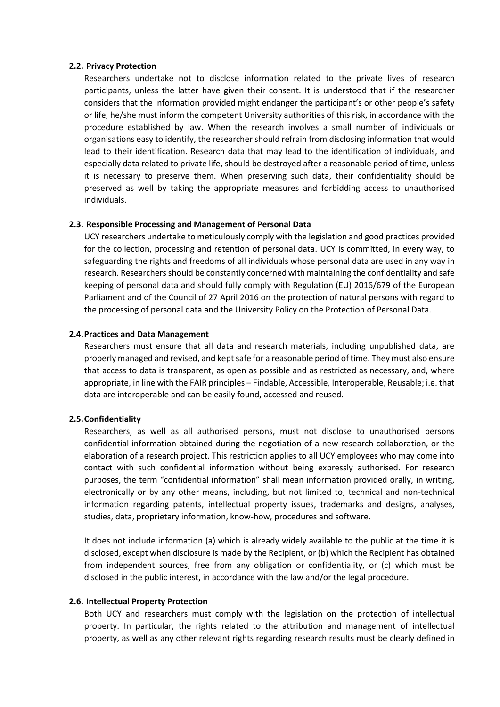#### **2.2. Privacy Protection**

Researchers undertake not to disclose information related to the private lives of research participants, unless the latter have given their consent. It is understood that if the researcher considers that the information provided might endanger the participant's or other people's safety or life, he/she must inform the competent University authorities of this risk, in accordance with the procedure established by law. When the research involves a small number of individuals or organisations easy to identify, the researcher should refrain from disclosing information that would lead to their identification. Research data that may lead to the identification of individuals, and especially data related to private life, should be destroyed after a reasonable period of time, unless it is necessary to preserve them. When preserving such data, their confidentiality should be preserved as well by taking the appropriate measures and forbidding access to unauthorised individuals.

### **2.3. Responsible Processing and Management of Personal Data**

UCY researchers undertake to meticulously comply with the legislation and good practices provided for the collection, processing and retention of personal data. UCY is committed, in every way, to safeguarding the rights and freedoms of all individuals whose personal data are used in any way in research. Researchers should be constantly concerned with maintaining the confidentiality and safe keeping of personal data and should fully comply with Regulation (EU) 2016/679 of the European Parliament and of the Council of 27 April 2016 on the protection of natural persons with regard to the processing of personal data and the University Policy on the Protection of Personal Data.

## **2.4.Practices and Data Management**

Researchers must ensure that all data and research materials, including unpublished data, are properly managed and revised, and kept safe for a reasonable period of time. They must also ensure that access to data is transparent, as open as possible and as restricted as necessary, and, where appropriate, in line with the FAIR principles – Findable, Accessible, Interoperable, Reusable; i.e. that data are interoperable and can be easily found, accessed and reused.

### **2.5.Confidentiality**

Researchers, as well as all authorised persons, must not disclose to unauthorised persons confidential information obtained during the negotiation of a new research collaboration, or the elaboration of a research project. This restriction applies to all UCY employees who may come into contact with such confidential information without being expressly authorised. For research purposes, the term "confidential information" shall mean information provided orally, in writing, electronically or by any other means, including, but not limited to, technical and non-technical information regarding patents, intellectual property issues, trademarks and designs, analyses, studies, data, proprietary information, know-how, procedures and software.

It does not include information (a) which is already widely available to the public at the time it is disclosed, except when disclosure is made by the Recipient, or (b) which the Recipient has obtained from independent sources, free from any obligation or confidentiality, or (c) which must be disclosed in the public interest, in accordance with the law and/or the legal procedure.

### **2.6. Intellectual Property Protection**

Both UCY and researchers must comply with the legislation on the protection of intellectual property. In particular, the rights related to the attribution and management of intellectual property, as well as any other relevant rights regarding research results must be clearly defined in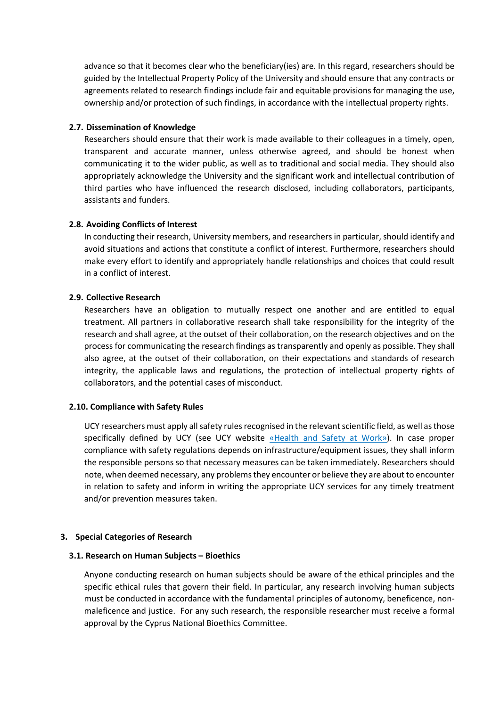advance so that it becomes clear who the beneficiary(ies) are. In this regard, researchers should be guided by the Intellectual Property Policy of the University and should ensure that any contracts or agreements related to research findings include fair and equitable provisions for managing the use, ownership and/or protection of such findings, in accordance with the intellectual property rights.

## **2.7. Dissemination of Knowledge**

Researchers should ensure that their work is made available to their colleagues in a timely, open, transparent and accurate manner, unless otherwise agreed, and should be honest when communicating it to the wider public, as well as to traditional and social media. They should also appropriately acknowledge the University and the significant work and intellectual contribution of third parties who have influenced the research disclosed, including collaborators, participants, assistants and funders.

## **2.8. Avoiding Conflicts of Interest**

In conducting their research, University members, and researchers in particular, should identify and avoid situations and actions that constitute a conflict of interest. Furthermore, researchers should make every effort to identify and appropriately handle relationships and choices that could result in a conflict of interest.

## **2.9. Collective Research**

Researchers have an obligation to mutually respect one another and are entitled to equal treatment. All partners in collaborative research shall take responsibility for the integrity of the research and shall agree, at the outset of their collaboration, on the research objectives and on the process for communicating the research findings as transparently and openly as possible. They shall also agree, at the outset of their collaboration, on their expectations and standards of research integrity, the applicable laws and regulations, the protection of intellectual property rights of collaborators, and the potential cases of misconduct.

### **2.10. Compliance with Safety Rules**

UCY researchers must apply all safety rules recognised in the relevant scientific field, as well as those specifically defined by UCY (see UCY website «Health [and Safety](http://www.ucy.ac.cy/hr/el/office-of-safety-health-and-environment/22-gr-articles/office-of-safety-health-and-environment/64-safety-and-health-at-work) at Work»). In case proper compliance with safety regulations depends on infrastructure/equipment issues, they shall inform the responsible persons so that necessary measures can be taken immediately. Researchers should note, when deemed necessary, any problems they encounter or believe they are about to encounter in relation to safety and inform in writing the appropriate UCY services for any timely treatment and/or prevention measures taken.

### **3. Special Categories of Research**

### **3.1. Research on Human Subjects – Bioethics**

Anyone conducting research on human subjects should be aware of the ethical principles and the specific ethical rules that govern their field. In particular, any research involving human subjects must be conducted in accordance with the fundamental principles of autonomy, beneficence, nonmaleficence and justice. For any such research, the responsible researcher must receive a formal approval by the Cyprus National Bioethics Committee.